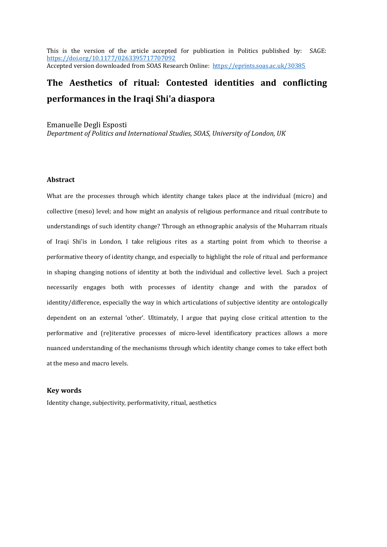This is the version of the article accepted for publication in Politics published by: SAGE: <https://doi.org/10.1177/0263395717707092> Accepted version downloaded from SOAS Research Online: <https://eprints.soas.ac.uk/30385>

# **The Aesthetics of ritual: Contested identities and conflicting performances in the Iraqi Shi'a diaspora**

Emanuelle Degli Esposti *Department of Politics and International Studies, SOAS, University of London, UK*

#### **Abstract**

What are the processes through which identity change takes place at the individual (micro) and collective (meso) level; and how might an analysis of religious performance and ritual contribute to understandings of such identity change? Through an ethnographic analysis of the Muharram rituals of Iraqi Shi'is in London, I take religious rites as a starting point from which to theorise a performative theory of identity change, and especially to highlight the role of ritual and performance in shaping changing notions of identity at both the individual and collective level. Such a project necessarily engages both with processes of identity change and with the paradox of identity/difference, especially the way in which articulations of subjective identity are ontologically dependent on an external 'other'. Ultimately, I argue that paying close critical attention to the performative and (re)iterative processes of micro-level identificatory practices allows a more nuanced understanding of the mechanisms through which identity change comes to take effect both at the meso and macro levels.

## **Key words**

Identity change, subjectivity, performativity, ritual, aesthetics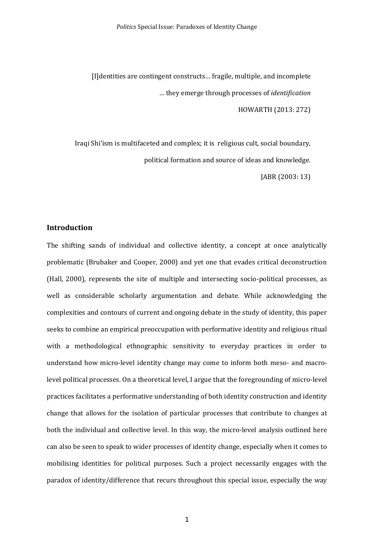[I]dentities are contingent constructs… fragile, multiple, and incomplete … they emerge through processes of *identification*

HOWARTH (2013: 272)

Iraqi Shi'ism is multifaceted and complex; it is religious cult, social boundary, political formation and source of ideas and knowledge.

JABR (2003: 13)

## **Introduction**

The shifting sands of individual and collective identity, a concept at once analytically problematic (Brubaker and Cooper, 2000) and yet one that evades critical deconstruction (Hall, 2000), represents the site of multiple and intersecting socio-political processes, as well as considerable scholarly argumentation and debate. While acknowledging the complexities and contours of current and ongoing debate in the study of identity, this paper seeks to combine an empirical preoccupation with performative identity and religious ritual with a methodological ethnographic sensitivity to everyday practices in order to understand how micro-level identity change may come to inform both meso- and macrolevel political processes. On a theoretical level, I argue that the foregrounding of micro-level practices facilitates a performative understanding of both identity construction and identity change that allows for the isolation of particular processes that contribute to changes at both the individual and collective level. In this way, the micro-level analysis outlined here can also be seen to speak to wider processes of identity change, especially when it comes to mobilising identities for political purposes. Such a project necessarily engages with the paradox of identity/difference that recurs throughout this special issue, especially the way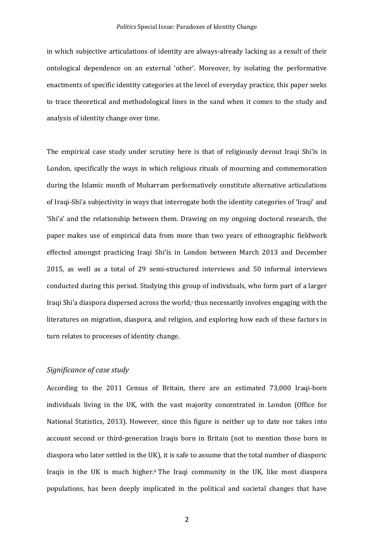in which subjective articulations of identity are always-already lacking as a result of their ontological dependence on an external 'other'. Moreover, by isolating the performative enactments of specific identity categories at the level of everyday practice, this paper seeks to trace theoretical and methodological lines in the sand when it comes to the study and analysis of identity change over time.

The empirical case study under scrutiny here is that of religiously devout Iraqi Shi'is in London, specifically the ways in which religious rituals of mourning and commemoration during the Islamic month of Muharram performatively constitute alternative articulations of Iraqi-Shi'a subjectivity in ways that interrogate both the identity categories of 'Iraqi' and 'Shi'a' and the relationship between them. Drawing on my ongoing doctoral research, the paper makes use of empirical data from more than two years of ethnographic fieldwork effected amongst practicing Iraqi Shi'is in London between March 2013 and December 2015, as well as a total of 29 semi-structured interviews and 50 informal interviews conducted during this period. Studying this group of individuals, who form part of a larger Iraqi Shi'a diaspora dispersed across the world, thus necessarily involves engaging with the literatures on migration, diaspora, and religion, and exploring how each of these factors in turn relates to processes of identity change.

## *Significance of case study*

According to the 2011 Census of Britain, there are an estimated 73,000 Iraqi-born individuals living in the UK, with the vast majority concentrated in London (Office for National Statistics, 2013). However, since this figure is neither up to date nor takes into account second or third-generation Iraqis born in Britain (not to mention those born in diaspora who later settled in the UK), it is safe to assume that the total number of diasporic Iraqis in the UK is much higher.ii The Iraqi community in the UK, like most diaspora populations, has been deeply implicated in the political and societal changes that have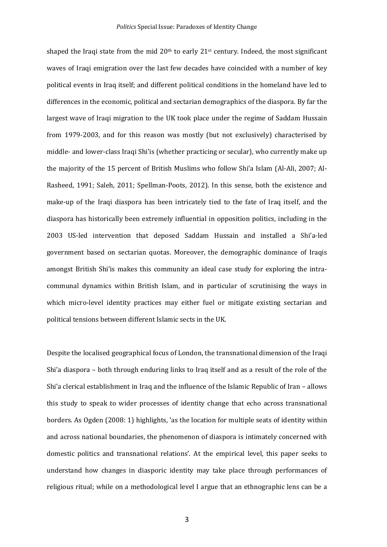shaped the Iraqi state from the mid  $20<sup>th</sup>$  to early  $21<sup>st</sup>$  century. Indeed, the most significant waves of Iraqi emigration over the last few decades have coincided with a number of key political events in Iraq itself; and different political conditions in the homeland have led to differences in the economic, political and sectarian demographics of the diaspora. By far the largest wave of Iraqi migration to the UK took place under the regime of Saddam Hussain from 1979-2003, and for this reason was mostly (but not exclusively) characterised by middle- and lower-class Iraqi Shi'is (whether practicing or secular), who currently make up the majority of the 15 percent of British Muslims who follow Shi'a Islam (Al-Ali, 2007; Al-Rasheed, 1991; Saleh, 2011; Spellman-Poots, 2012). In this sense, both the existence and make-up of the Iraqi diaspora has been intricately tied to the fate of Iraq itself, and the diaspora has historically been extremely influential in opposition politics, including in the 2003 US-led intervention that deposed Saddam Hussain and installed a Shi'a-led government based on sectarian quotas. Moreover, the demographic dominance of Iraqis amongst British Shi'is makes this community an ideal case study for exploring the intracommunal dynamics within British Islam, and in particular of scrutinising the ways in which micro-level identity practices may either fuel or mitigate existing sectarian and political tensions between different Islamic sects in the UK.

Despite the localised geographical focus of London, the transnational dimension of the Iraqi Shi'a diaspora – both through enduring links to Iraq itself and as a result of the role of the Shi'a clerical establishment in Iraq and the influence of the Islamic Republic of Iran – allows this study to speak to wider processes of identity change that echo across transnational borders. As Ogden (2008: 1) highlights, 'as the location for multiple seats of identity within and across national boundaries, the phenomenon of diaspora is intimately concerned with domestic politics and transnational relations'. At the empirical level, this paper seeks to understand how changes in diasporic identity may take place through performances of religious ritual; while on a methodological level I argue that an ethnographic lens can be a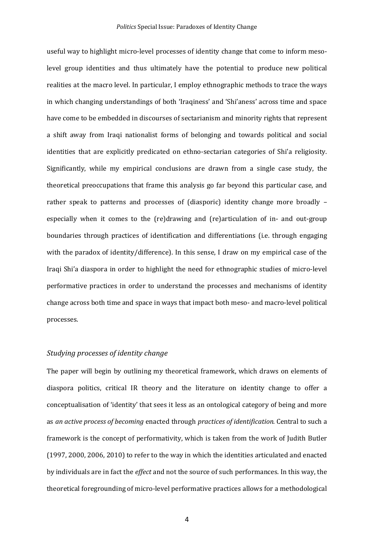useful way to highlight micro-level processes of identity change that come to inform mesolevel group identities and thus ultimately have the potential to produce new political realities at the macro level. In particular, I employ ethnographic methods to trace the ways in which changing understandings of both 'Iraqiness' and 'Shi'aness' across time and space have come to be embedded in discourses of sectarianism and minority rights that represent a shift away from Iraqi nationalist forms of belonging and towards political and social identities that are explicitly predicated on ethno-sectarian categories of Shi'a religiosity. Significantly, while my empirical conclusions are drawn from a single case study, the theoretical preoccupations that frame this analysis go far beyond this particular case, and rather speak to patterns and processes of (diasporic) identity change more broadly – especially when it comes to the (re)drawing and (re)articulation of in- and out-group boundaries through practices of identification and differentiations (i.e. through engaging with the paradox of identity/difference). In this sense, I draw on my empirical case of the Iraqi Shi'a diaspora in order to highlight the need for ethnographic studies of micro-level performative practices in order to understand the processes and mechanisms of identity change across both time and space in ways that impact both meso- and macro-level political processes.

#### *Studying processes of identity change*

The paper will begin by outlining my theoretical framework, which draws on elements of diaspora politics, critical IR theory and the literature on identity change to offer a conceptualisation of 'identity' that sees it less as an ontological category of being and more as *an active process of becoming* enacted through *practices of identification*. Central to such a framework is the concept of performativity, which is taken from the work of Judith Butler (1997, 2000, 2006, 2010) to refer to the way in which the identities articulated and enacted by individuals are in fact the *effect* and not the source of such performances. In this way, the theoretical foregrounding of micro-level performative practices allows for a methodological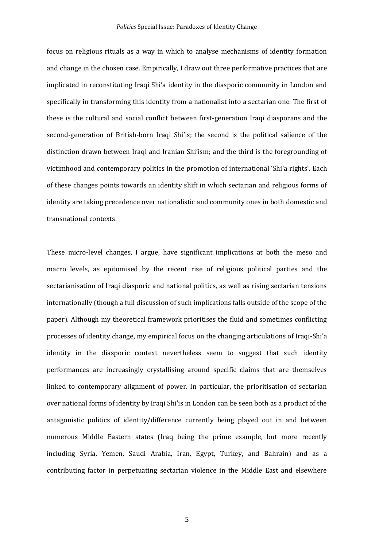focus on religious rituals as a way in which to analyse mechanisms of identity formation and change in the chosen case. Empirically, I draw out three performative practices that are implicated in reconstituting Iraqi Shi'a identity in the diasporic community in London and specifically in transforming this identity from a nationalist into a sectarian one. The first of these is the cultural and social conflict between first-generation Iraqi diasporans and the second-generation of British-born Iraqi Shi'is; the second is the political salience of the distinction drawn between Iraqi and Iranian Shi'ism; and the third is the foregrounding of victimhood and contemporary politics in the promotion of international 'Shi'a rights'. Each of these changes points towards an identity shift in which sectarian and religious forms of identity are taking precedence over nationalistic and community ones in both domestic and transnational contexts.

These micro-level changes, I argue, have significant implications at both the meso and macro levels, as epitomised by the recent rise of religious political parties and the sectarianisation of Iraqi diasporic and national politics, as well as rising sectarian tensions internationally (though a full discussion of such implications falls outside of the scope of the paper). Although my theoretical framework prioritises the fluid and sometimes conflicting processes of identity change, my empirical focus on the changing articulations of Iraqi-Shi'a identity in the diasporic context nevertheless seem to suggest that such identity performances are increasingly crystallising around specific claims that are themselves linked to contemporary alignment of power. In particular, the prioritisation of sectarian over national forms of identity by Iraqi Shi'is in London can be seen both as a product of the antagonistic politics of identity/difference currently being played out in and between numerous Middle Eastern states (Iraq being the prime example, but more recently including Syria, Yemen, Saudi Arabia, Iran, Egypt, Turkey, and Bahrain) and as a contributing factor in perpetuating sectarian violence in the Middle East and elsewhere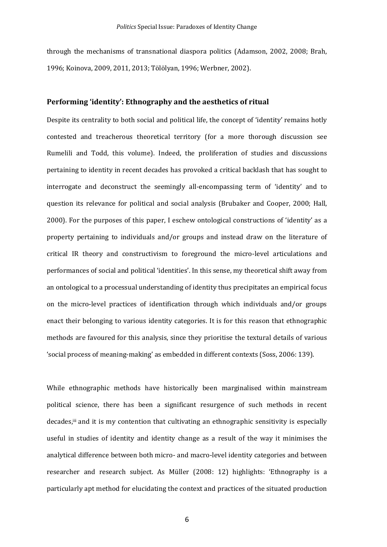through the mechanisms of transnational diaspora politics (Adamson, 2002, 2008; Brah, 1996; Koinova, 2009, 2011, 2013; Tölölyan, 1996; Werbner, 2002).

#### **Performing 'identity': Ethnography and the aesthetics of ritual**

Despite its centrality to both social and political life, the concept of 'identity' remains hotly contested and treacherous theoretical territory (for a more thorough discussion see Rumelili and Todd, this volume). Indeed, the proliferation of studies and discussions pertaining to identity in recent decades has provoked a critical backlash that has sought to interrogate and deconstruct the seemingly all-encompassing term of 'identity' and to question its relevance for political and social analysis (Brubaker and Cooper, 2000; Hall, 2000). For the purposes of this paper, I eschew ontological constructions of 'identity' as a property pertaining to individuals and/or groups and instead draw on the literature of critical IR theory and constructivism to foreground the micro-level articulations and performances of social and political 'identities'. In this sense, my theoretical shift away from an ontological to a processual understanding of identity thus precipitates an empirical focus on the micro-level practices of identification through which individuals and/or groups enact their belonging to various identity categories. It is for this reason that ethnographic methods are favoured for this analysis, since they prioritise the textural details of various 'social process of meaning-making' as embedded in different contexts (Soss, 2006: 139).

While ethnographic methods have historically been marginalised within mainstream political science, there has been a significant resurgence of such methods in recent decades,<sup>iii</sup> and it is my contention that cultivating an ethnographic sensitivity is especially useful in studies of identity and identity change as a result of the way it minimises the analytical difference between both micro- and macro-level identity categories and between researcher and research subject. As Müller (2008: 12) highlights: 'Ethnography is a particularly apt method for elucidating the context and practices of the situated production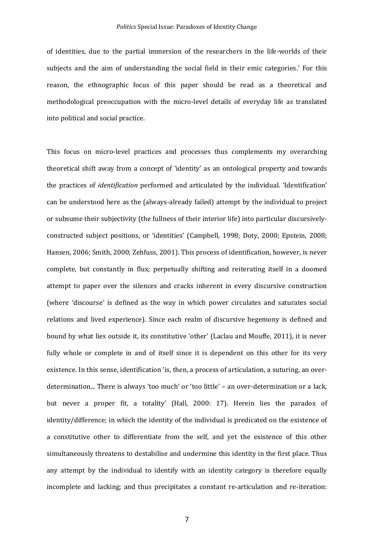of identities, due to the partial immersion of the researchers in the life-worlds of their subjects and the aim of understanding the social field in their emic categories.' For this reason, the ethnographic focus of this paper should be read as a theoretical and methodological preoccupation with the micro-level details of everyday life as translated into political and social practice.

This focus on micro-level practices and processes thus complements my overarching theoretical shift away from a concept of 'identity' as an ontological property and towards the practices of *identification* performed and articulated by the individual. 'Identification' can be understood here as the (always-already failed) attempt by the individual to project or subsume their subjectivity (the fullness of their interior life) into particular discursivelyconstructed subject positions, or 'identities' (Campbell, 1998; Doty, 2000; Epstein, 2008; Hansen, 2006; Smith, 2000; Zehfuss, 2001). This process of identification, however, is never complete, but constantly in flux; perpetually shifting and reiterating itself in a doomed attempt to paper over the silences and cracks inherent in every discursive construction (where 'discourse' is defined as the way in which power circulates and saturates social relations and lived experience). Since each realm of discursive hegemony is defined and bound by what lies outside it, its constitutive 'other' (Laclau and Mouffe, 2011), it is never fully whole or complete in and of itself since it is dependent on this other for its very existence. In this sense, identification 'is, then, a process of articulation, a suturing, an overdetermination... There is always 'too much' or 'too little' – an over-determination or a lack, but never a proper fit, a totality' (Hall, 2000: 17). Herein lies the paradox of identity/difference; in which the identity of the individual is predicated on the existence of a constitutive other to differentiate from the self, and yet the existence of this other simultaneously threatens to destabilise and undermine this identity in the first place. Thus any attempt by the individual to identify with an identity category is therefore equally incomplete and lacking; and thus precipitates a constant re-articulation and re-iteration: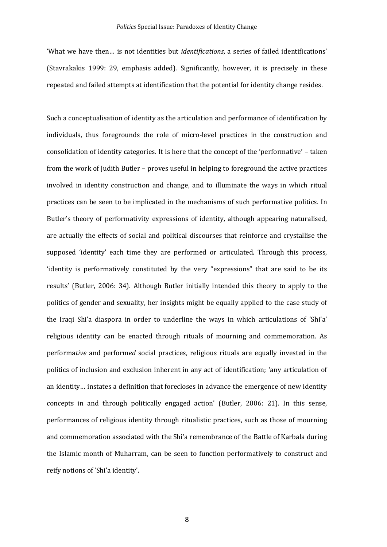#### *Politics* Special Issue: Paradoxes of Identity Change

'What we have then… is not identities but *identifications*, a series of failed identifications' (Stavrakakis 1999: 29, emphasis added). Significantly, however, it is precisely in these repeated and failed attempts at identification that the potential for identity change resides.

Such a conceptualisation of identity as the articulation and performance of identification by individuals, thus foregrounds the role of micro-level practices in the construction and consolidation of identity categories. It is here that the concept of the 'performative' – taken from the work of Judith Butler – proves useful in helping to foreground the active practices involved in identity construction and change, and to illuminate the ways in which ritual practices can be seen to be implicated in the mechanisms of such performative politics. In Butler's theory of performativity expressions of identity, although appearing naturalised, are actually the effects of social and political discourses that reinforce and crystallise the supposed 'identity' each time they are performed or articulated. Through this process, 'identity is performatively constituted by the very "expressions" that are said to be its results' (Butler, 2006: 34). Although Butler initially intended this theory to apply to the politics of gender and sexuality, her insights might be equally applied to the case study of the Iraqi Shi'a diaspora in order to underline the ways in which articulations of 'Shi'a' religious identity can be enacted through rituals of mourning and commemoration. As performa*tive* and perform*ed* social practices, religious rituals are equally invested in the politics of inclusion and exclusion inherent in any act of identification; 'any articulation of an identity… instates a definition that forecloses in advance the emergence of new identity concepts in and through politically engaged action' (Butler, 2006: 21). In this sense, performances of religious identity through ritualistic practices, such as those of mourning and commemoration associated with the Shi'a remembrance of the Battle of Karbala during the Islamic month of Muharram, can be seen to function performatively to construct and reify notions of 'Shi'a identity'.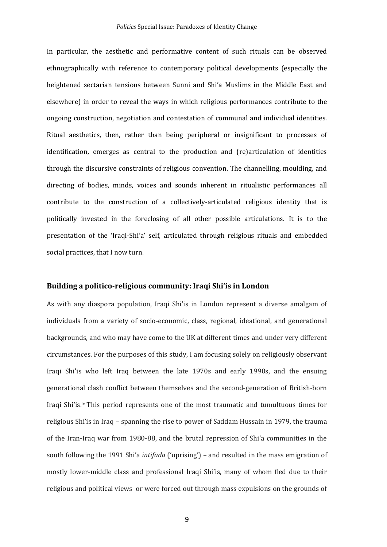In particular, the aesthetic and performative content of such rituals can be observed ethnographically with reference to contemporary political developments (especially the heightened sectarian tensions between Sunni and Shi'a Muslims in the Middle East and elsewhere) in order to reveal the ways in which religious performances contribute to the ongoing construction, negotiation and contestation of communal and individual identities. Ritual aesthetics, then, rather than being peripheral or insignificant to processes of identification, emerges as central to the production and (re)articulation of identities through the discursive constraints of religious convention. The channelling, moulding, and directing of bodies, minds, voices and sounds inherent in ritualistic performances all contribute to the construction of a collectively-articulated religious identity that is politically invested in the foreclosing of all other possible articulations. It is to the presentation of the 'Iraqi-Shi'a' self, articulated through religious rituals and embedded social practices, that I now turn.

## **Building a politico-religious community: Iraqi Shi'is in London**

As with any diaspora population, Iraqi Shi'is in London represent a diverse amalgam of individuals from a variety of socio-economic, class, regional, ideational, and generational backgrounds, and who may have come to the UK at different times and under very different circumstances. For the purposes of this study, I am focusing solely on religiously observant Iraqi Shi'is who left Iraq between the late 1970s and early 1990s, and the ensuing generational clash conflict between themselves and the second-generation of British-born Iraqi Shi'is.<sup>iv</sup> This period represents one of the most traumatic and tumultuous times for religious Shi'is in Iraq – spanning the rise to power of Saddam Hussain in 1979, the trauma of the Iran-Iraq war from 1980-88, and the brutal repression of Shi'a communities in the south following the 1991 Shi'a *intifada* ('uprising') – and resulted in the mass emigration of mostly lower-middle class and professional Iraqi Shi'is, many of whom fled due to their religious and political views or were forced out through mass expulsions on the grounds of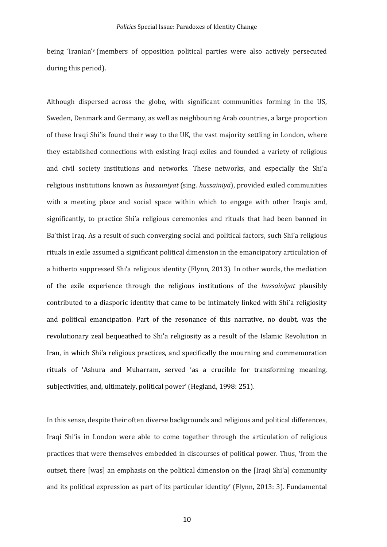being 'Iranian' <sup>v</sup> (members of opposition political parties were also actively persecuted during this period).

Although dispersed across the globe, with significant communities forming in the US, Sweden, Denmark and Germany, as well as neighbouring Arab countries, a large proportion of these Iraqi Shi'is found their way to the UK, the vast majority settling in London, where they established connections with existing Iraqi exiles and founded a variety of religious and civil society institutions and networks. These networks, and especially the Shi'a religious institutions known as *hussainiyat* (sing. *hussainiya*), provided exiled communities with a meeting place and social space within which to engage with other Iraqis and, significantly, to practice Shi'a religious ceremonies and rituals that had been banned in Ba'thist Iraq. As a result of such converging social and political factors, such Shi'a religious rituals in exile assumed a significant political dimension in the emancipatory articulation of a hitherto suppressed Shi'a religious identity (Flynn, 2013). In other words, the mediation of the exile experience through the religious institutions of the *hussainiyat* plausibly contributed to a diasporic identity that came to be intimately linked with Shi'a religiosity and political emancipation. Part of the resonance of this narrative, no doubt, was the revolutionary zeal bequeathed to Shi'a religiosity as a result of the Islamic Revolution in Iran, in which Shi'a religious practices, and specifically the mourning and commemoration rituals of 'Ashura and Muharram, served 'as a crucible for transforming meaning, subjectivities, and, ultimately, political power' (Hegland, 1998: 251).

In this sense, despite their often diverse backgrounds and religious and political differences, Iraqi Shi'is in London were able to come together through the articulation of religious practices that were themselves embedded in discourses of political power. Thus, 'from the outset, there [was] an emphasis on the political dimension on the [Iraqi Shi'a] community and its political expression as part of its particular identity' (Flynn, 2013: 3). Fundamental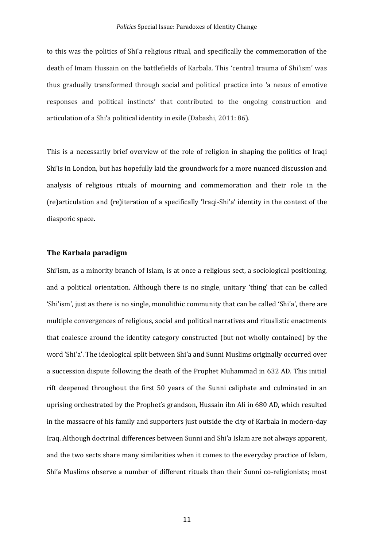to this was the politics of Shi'a religious ritual, and specifically the commemoration of the death of Imam Hussain on the battlefields of Karbala. This 'central trauma of Shi'ism' was thus gradually transformed through social and political practice into 'a nexus of emotive responses and political instincts' that contributed to the ongoing construction and articulation of a Shi'a political identity in exile (Dabashi, 2011: 86).

This is a necessarily brief overview of the role of religion in shaping the politics of Iraqi Shi'is in London, but has hopefully laid the groundwork for a more nuanced discussion and analysis of religious rituals of mourning and commemoration and their role in the (re)articulation and (re)iteration of a specifically 'Iraqi-Shi'a' identity in the context of the diasporic space.

## **The Karbala paradigm**

Shi'ism, as a minority branch of Islam, is at once a religious sect, a sociological positioning, and a political orientation. Although there is no single, unitary 'thing' that can be called 'Shi'ism', just as there is no single, monolithic community that can be called 'Shi'a', there are multiple convergences of religious, social and political narratives and ritualistic enactments that coalesce around the identity category constructed (but not wholly contained) by the word 'Shi'a'. The ideological split between Shi'a and Sunni Muslims originally occurred over a succession dispute following the death of the Prophet Muhammad in 632 AD. This initial rift deepened throughout the first 50 years of the Sunni caliphate and culminated in an uprising orchestrated by the Prophet's grandson, Hussain ibn Ali in 680 AD, which resulted in the massacre of his family and supporters just outside the city of Karbala in modern-day Iraq. Although doctrinal differences between Sunni and Shi'a Islam are not always apparent, and the two sects share many similarities when it comes to the everyday practice of Islam, Shi'a Muslims observe a number of different rituals than their Sunni co-religionists; most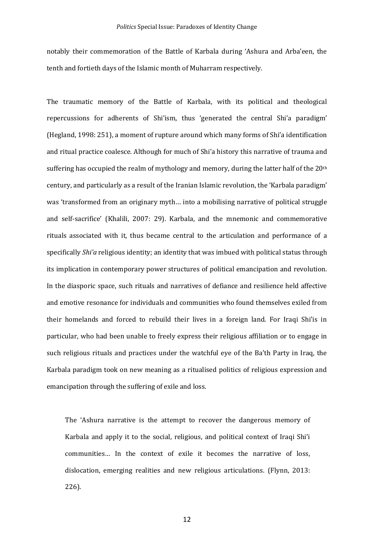notably their commemoration of the Battle of Karbala during 'Ashura and Arba'een, the tenth and fortieth days of the Islamic month of Muharram respectively.

The traumatic memory of the Battle of Karbala, with its political and theological repercussions for adherents of Shi'ism, thus 'generated the central Shi'a paradigm' (Hegland, 1998: 251), a moment of rupture around which many forms of Shi'a identification and ritual practice coalesce. Although for much of Shi'a history this narrative of trauma and suffering has occupied the realm of mythology and memory, during the latter half of the 20<sup>th</sup> century, and particularly as a result of the Iranian Islamic revolution, the 'Karbala paradigm' was 'transformed from an originary myth… into a mobilising narrative of political struggle and self-sacrifice' (Khalili, 2007: 29). Karbala, and the mnemonic and commemorative rituals associated with it, thus became central to the articulation and performance of a specifically *Shi'a* religious identity; an identity that was imbued with political status through its implication in contemporary power structures of political emancipation and revolution. In the diasporic space, such rituals and narratives of defiance and resilience held affective and emotive resonance for individuals and communities who found themselves exiled from their homelands and forced to rebuild their lives in a foreign land. For Iraqi Shi'is in particular, who had been unable to freely express their religious affiliation or to engage in such religious rituals and practices under the watchful eye of the Ba'th Party in Iraq, the Karbala paradigm took on new meaning as a ritualised politics of religious expression and emancipation through the suffering of exile and loss.

The 'Ashura narrative is the attempt to recover the dangerous memory of Karbala and apply it to the social, religious, and political context of Iraqi Shi'i communities… In the context of exile it becomes the narrative of loss, dislocation, emerging realities and new religious articulations. (Flynn, 2013: 226).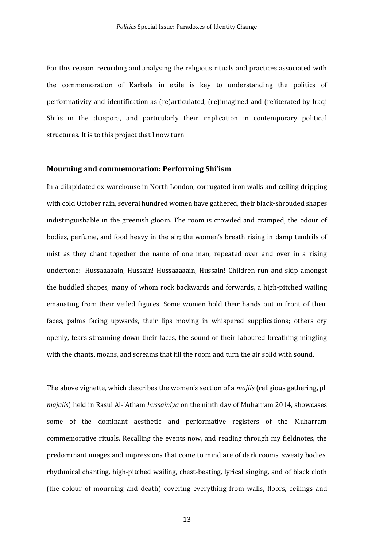For this reason, recording and analysing the religious rituals and practices associated with the commemoration of Karbala in exile is key to understanding the politics of performativity and identification as (re)articulated, (re)imagined and (re)iterated by Iraqi Shi'is in the diaspora, and particularly their implication in contemporary political structures. It is to this project that I now turn.

## **Mourning and commemoration: Performing Shi'ism**

In a dilapidated ex-warehouse in North London, corrugated iron walls and ceiling dripping with cold October rain, several hundred women have gathered, their black-shrouded shapes indistinguishable in the greenish gloom. The room is crowded and cramped, the odour of bodies, perfume, and food heavy in the air; the women's breath rising in damp tendrils of mist as they chant together the name of one man, repeated over and over in a rising undertone: 'Hussaaaaain, Hussain! Hussaaaaain, Hussain! Children run and skip amongst the huddled shapes, many of whom rock backwards and forwards, a high-pitched wailing emanating from their veiled figures. Some women hold their hands out in front of their faces, palms facing upwards, their lips moving in whispered supplications; others cry openly, tears streaming down their faces, the sound of their laboured breathing mingling with the chants, moans, and screams that fill the room and turn the air solid with sound.

The above vignette, which describes the women's section of a *majlis* (religious gathering, pl. *majalis*) held in Rasul Al-'Atham *hussainiya* on the ninth day of Muharram 2014, showcases some of the dominant aesthetic and performative registers of the Muharram commemorative rituals. Recalling the events now, and reading through my fieldnotes, the predominant images and impressions that come to mind are of dark rooms, sweaty bodies, rhythmical chanting, high-pitched wailing, chest-beating, lyrical singing, and of black cloth (the colour of mourning and death) covering everything from walls, floors, ceilings and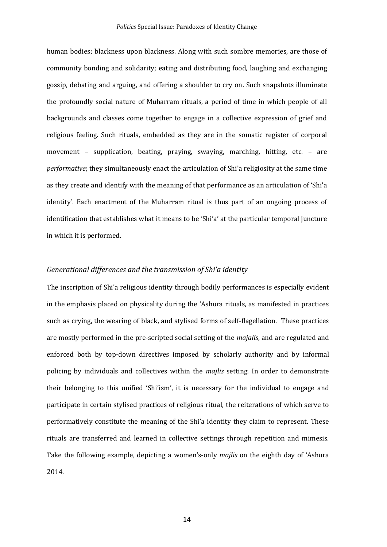human bodies; blackness upon blackness. Along with such sombre memories, are those of community bonding and solidarity; eating and distributing food, laughing and exchanging gossip, debating and arguing, and offering a shoulder to cry on. Such snapshots illuminate the profoundly social nature of Muharram rituals, a period of time in which people of all backgrounds and classes come together to engage in a collective expression of grief and religious feeling. Such rituals, embedded as they are in the somatic register of corporal movement – supplication, beating, praying, swaying, marching, hitting, etc. – are *performative*; they simultaneously enact the articulation of Shi'a religiosity at the same time as they create and identify with the meaning of that performance as an articulation of 'Shi'a identity'. Each enactment of the Muharram ritual is thus part of an ongoing process of identification that establishes what it means to be 'Shi'a' at the particular temporal juncture in which it is performed.

#### *Generational differences and the transmission of Shi'a identity*

The inscription of Shi'a religious identity through bodily performances is especially evident in the emphasis placed on physicality during the 'Ashura rituals, as manifested in practices such as crying, the wearing of black, and stylised forms of self-flagellation. These practices are mostly performed in the pre-scripted social setting of the *majalis*, and are regulated and enforced both by top-down directives imposed by scholarly authority and by informal policing by individuals and collectives within the *majlis* setting. In order to demonstrate their belonging to this unified 'Shi'ism', it is necessary for the individual to engage and participate in certain stylised practices of religious ritual, the reiterations of which serve to performatively constitute the meaning of the Shi'a identity they claim to represent. These rituals are transferred and learned in collective settings through repetition and mimesis. Take the following example, depicting a women's-only *majlis* on the eighth day of 'Ashura 2014.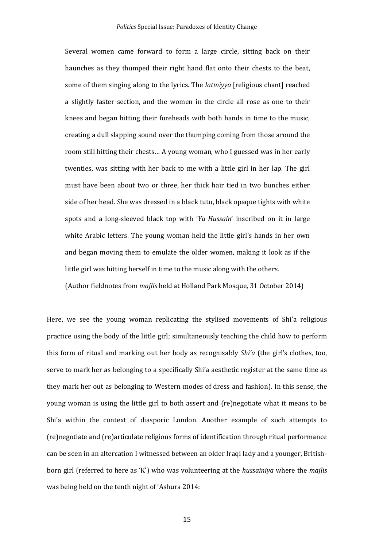Several women came forward to form a large circle, sitting back on their haunches as they thumped their right hand flat onto their chests to the beat, some of them singing along to the lyrics. The *latmiyya* [religious chant] reached a slightly faster section, and the women in the circle all rose as one to their knees and began hitting their foreheads with both hands in time to the music, creating a dull slapping sound over the thumping coming from those around the room still hitting their chests… A young woman, who I guessed was in her early twenties, was sitting with her back to me with a little girl in her lap. The girl must have been about two or three, her thick hair tied in two bunches either side of her head. She was dressed in a black tutu, black opaque tights with white spots and a long-sleeved black top with '*Ya Hussain*' inscribed on it in large white Arabic letters. The young woman held the little girl's hands in her own and began moving them to emulate the older women, making it look as if the little girl was hitting herself in time to the music along with the others.

(Author fieldnotes from *majlis* held at Holland Park Mosque, 31 October 2014)

Here, we see the young woman replicating the stylised movements of Shi'a religious practice using the body of the little girl; simultaneously teaching the child how to perform this form of ritual and marking out her body as recognisably *Shi'a* (the girl's clothes, too, serve to mark her as belonging to a specifically Shi'a aesthetic register at the same time as they mark her out as belonging to Western modes of dress and fashion). In this sense, the young woman is using the little girl to both assert and (re)negotiate what it means to be Shi'a within the context of diasporic London. Another example of such attempts to (re)negotiate and (re)articulate religious forms of identification through ritual performance can be seen in an altercation I witnessed between an older Iraqi lady and a younger, Britishborn girl (referred to here as 'K') who was volunteering at the *hussainiya* where the *majlis* was being held on the tenth night of 'Ashura 2014: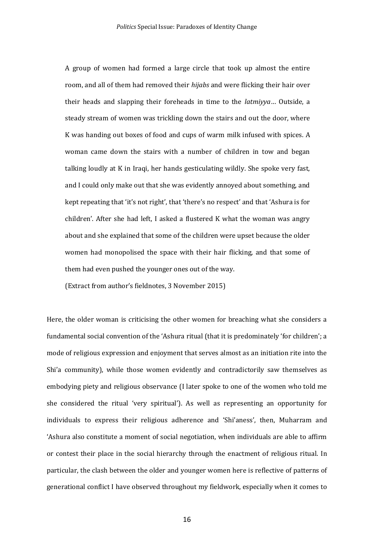A group of women had formed a large circle that took up almost the entire room, and all of them had removed their *hijabs* and were flicking their hair over their heads and slapping their foreheads in time to the *latmiyya*… Outside, a steady stream of women was trickling down the stairs and out the door, where K was handing out boxes of food and cups of warm milk infused with spices. A woman came down the stairs with a number of children in tow and began talking loudly at K in Iraqi, her hands gesticulating wildly. She spoke very fast, and I could only make out that she was evidently annoyed about something, and kept repeating that 'it's not right', that 'there's no respect' and that 'Ashura is for children'. After she had left, I asked a flustered K what the woman was angry about and she explained that some of the children were upset because the older women had monopolised the space with their hair flicking, and that some of them had even pushed the younger ones out of the way.

(Extract from author's fieldnotes, 3 November 2015)

Here, the older woman is criticising the other women for breaching what she considers a fundamental social convention of the 'Ashura ritual (that it is predominately 'for children'; a mode of religious expression and enjoyment that serves almost as an initiation rite into the Shi'a community), while those women evidently and contradictorily saw themselves as embodying piety and religious observance (I later spoke to one of the women who told me she considered the ritual 'very spiritual'). As well as representing an opportunity for individuals to express their religious adherence and 'Shi'aness', then, Muharram and 'Ashura also constitute a moment of social negotiation, when individuals are able to affirm or contest their place in the social hierarchy through the enactment of religious ritual. In particular, the clash between the older and younger women here is reflective of patterns of generational conflict I have observed throughout my fieldwork, especially when it comes to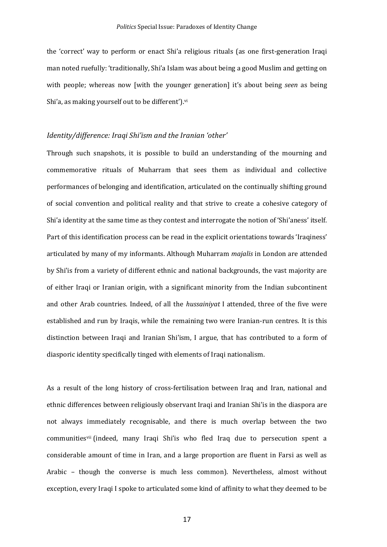the 'correct' way to perform or enact Shi'a religious rituals (as one first-generation Iraqi man noted ruefully: 'traditionally, Shi'a Islam was about being a good Muslim and getting on with people; whereas now [with the younger generation] it's about being *seen* as being Shi'a, as making yourself out to be different').<sup>vi</sup>

## *Identity/difference: Iraqi Shi'ism and the Iranian 'other'*

Through such snapshots, it is possible to build an understanding of the mourning and commemorative rituals of Muharram that sees them as individual and collective performances of belonging and identification, articulated on the continually shifting ground of social convention and political reality and that strive to create a cohesive category of Shi'a identity at the same time as they contest and interrogate the notion of 'Shi'aness' itself. Part of this identification process can be read in the explicit orientations towards 'Iraqiness' articulated by many of my informants. Although Muharram *majalis* in London are attended by Shi'is from a variety of different ethnic and national backgrounds, the vast majority are of either Iraqi or Iranian origin, with a significant minority from the Indian subcontinent and other Arab countries. Indeed, of all the *hussainiyat* I attended, three of the five were established and run by Iraqis, while the remaining two were Iranian-run centres. It is this distinction between Iraqi and Iranian Shi'ism, I argue, that has contributed to a form of diasporic identity specifically tinged with elements of Iraqi nationalism.

As a result of the long history of cross-fertilisation between Iraq and Iran, national and ethnic differences between religiously observant Iraqi and Iranian Shi'is in the diaspora are not always immediately recognisable, and there is much overlap between the two communitiesvii (indeed, many Iraqi Shi'is who fled Iraq due to persecution spent a considerable amount of time in Iran, and a large proportion are fluent in Farsi as well as Arabic – though the converse is much less common). Nevertheless, almost without exception, every Iraqi I spoke to articulated some kind of affinity to what they deemed to be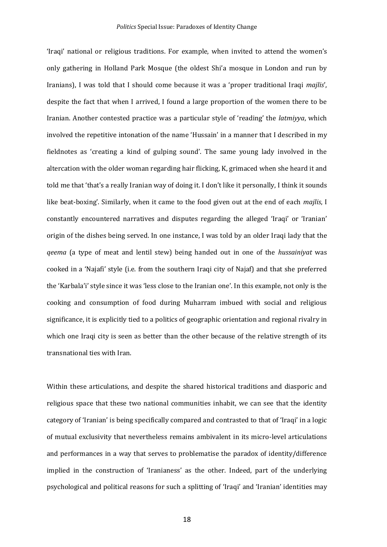'Iraqi' national or religious traditions. For example, when invited to attend the women's only gathering in Holland Park Mosque (the oldest Shi'a mosque in London and run by Iranians), I was told that I should come because it was a 'proper traditional Iraqi *majlis*', despite the fact that when I arrived, I found a large proportion of the women there to be Iranian. Another contested practice was a particular style of 'reading' the *latmiyya*, which involved the repetitive intonation of the name 'Hussain' in a manner that I described in my fieldnotes as 'creating a kind of gulping sound'. The same young lady involved in the altercation with the older woman regarding hair flicking, K, grimaced when she heard it and told me that 'that's a really Iranian way of doing it. I don't like it personally, I think it sounds like beat-boxing'. Similarly, when it came to the food given out at the end of each *majlis*, I constantly encountered narratives and disputes regarding the alleged 'Iraqi' or 'Iranian' origin of the dishes being served. In one instance, I was told by an older Iraqi lady that the *qeema* (a type of meat and lentil stew) being handed out in one of the *hussainiyat* was cooked in a 'Najafi' style (i.e. from the southern Iraqi city of Najaf) and that she preferred the 'Karbala'i' style since it was 'less close to the Iranian one'. In this example, not only is the cooking and consumption of food during Muharram imbued with social and religious significance, it is explicitly tied to a politics of geographic orientation and regional rivalry in which one Iraqi city is seen as better than the other because of the relative strength of its transnational ties with Iran.

Within these articulations, and despite the shared historical traditions and diasporic and religious space that these two national communities inhabit, we can see that the identity category of 'Iranian' is being specifically compared and contrasted to that of 'Iraqi' in a logic of mutual exclusivity that nevertheless remains ambivalent in its micro-level articulations and performances in a way that serves to problematise the paradox of identity/difference implied in the construction of 'Iranianess' as the other. Indeed, part of the underlying psychological and political reasons for such a splitting of 'Iraqi' and 'Iranian' identities may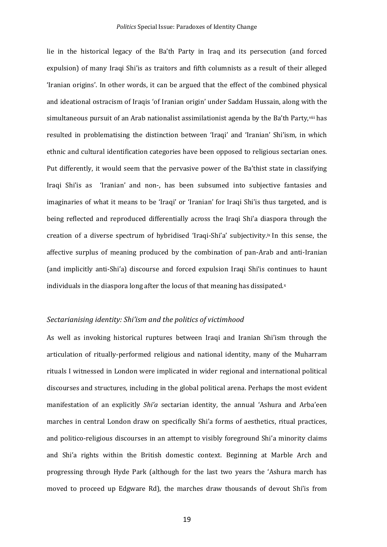lie in the historical legacy of the Ba'th Party in Iraq and its persecution (and forced expulsion) of many Iraqi Shi'is as traitors and fifth columnists as a result of their alleged 'Iranian origins'. In other words, it can be argued that the effect of the combined physical and ideational ostracism of Iraqis 'of Iranian origin' under Saddam Hussain, along with the simultaneous pursuit of an Arab nationalist assimilationist agenda by the Ba'th Party, viii has resulted in problematising the distinction between 'Iraqi' and 'Iranian' Shi'ism, in which ethnic and cultural identification categories have been opposed to religious sectarian ones. Put differently, it would seem that the pervasive power of the Ba'thist state in classifying Iraqi Shi'is as 'Iranian' and non-, has been subsumed into subjective fantasies and imaginaries of what it means to be 'Iraqi' or 'Iranian' for Iraqi Shi'is thus targeted, and is being reflected and reproduced differentially across the Iraqi Shi'a diaspora through the creation of a diverse spectrum of hybridised 'Iraqi-Shi'a' subjectivity.ix In this sense, the affective surplus of meaning produced by the combination of pan-Arab and anti-Iranian (and implicitly anti-Shi'a) discourse and forced expulsion Iraqi Shi'is continues to haunt individuals in the diaspora long after the locus of that meaning has dissipated. $x$ 

## *Sectarianising identity: Shi'ism and the politics of victimhood*

As well as invoking historical ruptures between Iraqi and Iranian Shi'ism through the articulation of ritually-performed religious and national identity, many of the Muharram rituals I witnessed in London were implicated in wider regional and international political discourses and structures, including in the global political arena. Perhaps the most evident manifestation of an explicitly *Shi'a* sectarian identity, the annual 'Ashura and Arba'een marches in central London draw on specifically Shi'a forms of aesthetics, ritual practices, and politico-religious discourses in an attempt to visibly foreground Shi'a minority claims and Shi'a rights within the British domestic context. Beginning at Marble Arch and progressing through Hyde Park (although for the last two years the 'Ashura march has moved to proceed up Edgware Rd), the marches draw thousands of devout Shi'is from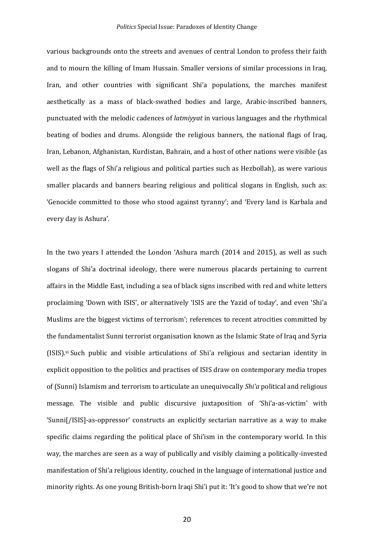various backgrounds onto the streets and avenues of central London to profess their faith and to mourn the killing of Imam Hussain. Smaller versions of similar processions in Iraq, Iran, and other countries with significant Shi'a populations, the marches manifest aesthetically as a mass of black-swathed bodies and large, Arabic-inscribed banners, punctuated with the melodic cadences of *latmiyyat* in various languages and the rhythmical beating of bodies and drums. Alongside the religious banners, the national flags of Iraq, Iran, Lebanon, Afghanistan, Kurdistan, Bahrain, and a host of other nations were visible (as well as the flags of Shi'a religious and political parties such as Hezbollah), as were various smaller placards and banners bearing religious and political slogans in English, such as: 'Genocide committed to those who stood against tyranny'; and 'Every land is Karbala and every day is Ashura'.

In the two years I attended the London 'Ashura march (2014 and 2015), as well as such slogans of Shi'a doctrinal ideology, there were numerous placards pertaining to current affairs in the Middle East, including a sea of black signs inscribed with red and white letters proclaiming 'Down with ISIS', or alternatively 'ISIS are the Yazid of today', and even 'Shi'a Muslims are the biggest victims of terrorism'; references to recent atrocities committed by the fundamentalist Sunni terrorist organisation known as the Islamic State of Iraq and Syria (ISIS). xi Such public and visible articulations of Shi'a religious and sectarian identity in explicit opposition to the politics and practises of ISIS draw on contemporary media tropes of (Sunni) Islamism and terrorism to articulate an unequivocally *Shi'a* political and religious message. The visible and public discursive juxtaposition of 'Shi'a-as-victim' with 'Sunni[/ISIS]-as-oppressor' constructs an explicitly sectarian narrative as a way to make specific claims regarding the political place of Shi'ism in the contemporary world. In this way, the marches are seen as a way of publically and visibly claiming a politically-invested manifestation of Shi'a religious identity, couched in the language of international justice and minority rights. As one young British-born Iraqi Shi'i put it: 'It's good to show that we're not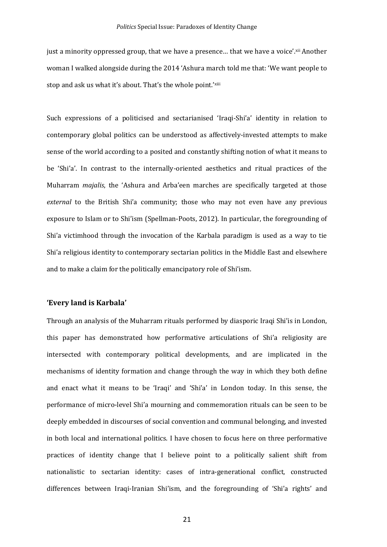just a minority oppressed group, that we have a presence... that we have a voice'.xii Another woman I walked alongside during the 2014 'Ashura march told me that: 'We want people to stop and ask us what it's about. That's the whole point.'xiii

Such expressions of a politicised and sectarianised 'Iraqi-Shi'a' identity in relation to contemporary global politics can be understood as affectively-invested attempts to make sense of the world according to a posited and constantly shifting notion of what it means to be 'Shi'a'. In contrast to the internally-oriented aesthetics and ritual practices of the Muharram *majalis*, the 'Ashura and Arba'een marches are specifically targeted at those *external* to the British Shi'a community; those who may not even have any previous exposure to Islam or to Shi'ism (Spellman-Poots, 2012). In particular, the foregrounding of Shi'a victimhood through the invocation of the Karbala paradigm is used as a way to tie Shi'a religious identity to contemporary sectarian politics in the Middle East and elsewhere and to make a claim for the politically emancipatory role of Shi'ism.

## **'Every land is Karbala'**

Through an analysis of the Muharram rituals performed by diasporic Iraqi Shi'is in London, this paper has demonstrated how performative articulations of Shi'a religiosity are intersected with contemporary political developments, and are implicated in the mechanisms of identity formation and change through the way in which they both define and enact what it means to be 'Iraqi' and 'Shi'a' in London today. In this sense, the performance of micro-level Shi'a mourning and commemoration rituals can be seen to be deeply embedded in discourses of social convention and communal belonging, and invested in both local and international politics. I have chosen to focus here on three performative practices of identity change that I believe point to a politically salient shift from nationalistic to sectarian identity: cases of intra-generational conflict, constructed differences between Iraqi-Iranian Shi'ism, and the foregrounding of 'Shi'a rights' and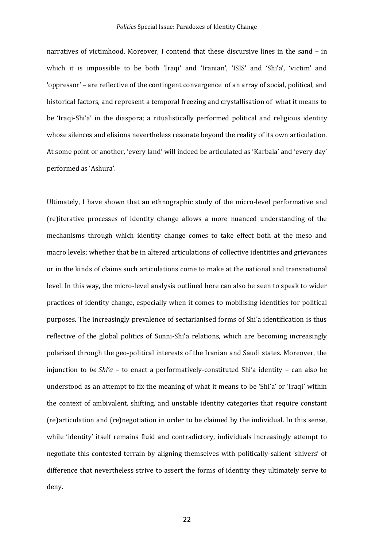#### *Politics* Special Issue: Paradoxes of Identity Change

narratives of victimhood. Moreover, I contend that these discursive lines in the sand – in which it is impossible to be both 'Iraqi' and 'Iranian', 'ISIS' and 'Shi'a', 'victim' and 'oppressor' – are reflective of the contingent convergence of an array of social, political, and historical factors, and represent a temporal freezing and crystallisation of what it means to be 'Iraqi-Shi'a' in the diaspora; a ritualistically performed political and religious identity whose silences and elisions nevertheless resonate beyond the reality of its own articulation. At some point or another, 'every land' will indeed be articulated as 'Karbala' and 'every day' performed as 'Ashura'.

Ultimately, I have shown that an ethnographic study of the micro-level performative and (re)iterative processes of identity change allows a more nuanced understanding of the mechanisms through which identity change comes to take effect both at the meso and macro levels; whether that be in altered articulations of collective identities and grievances or in the kinds of claims such articulations come to make at the national and transnational level. In this way, the micro-level analysis outlined here can also be seen to speak to wider practices of identity change, especially when it comes to mobilising identities for political purposes. The increasingly prevalence of sectarianised forms of Shi'a identification is thus reflective of the global politics of Sunni-Shi'a relations, which are becoming increasingly polarised through the geo-political interests of the Iranian and Saudi states. Moreover, the injunction to *be Shi'a* – to enact a performatively-constituted Shi'a identity – can also be understood as an attempt to fix the meaning of what it means to be 'Shi'a' or 'Iraqi' within the context of ambivalent, shifting, and unstable identity categories that require constant (re)articulation and (re)negotiation in order to be claimed by the individual. In this sense, while 'identity' itself remains fluid and contradictory, individuals increasingly attempt to negotiate this contested terrain by aligning themselves with politically-salient 'shivers' of difference that nevertheless strive to assert the forms of identity they ultimately serve to deny.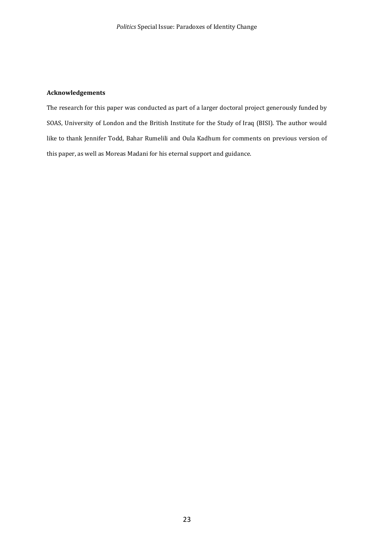## **Acknowledgements**

The research for this paper was conducted as part of a larger doctoral project generously funded by SOAS, University of London and the British Institute for the Study of Iraq (BISI). The author would like to thank Jennifer Todd, Bahar Rumelili and Oula Kadhum for comments on previous version of this paper, as well as Moreas Madani for his eternal support and guidance.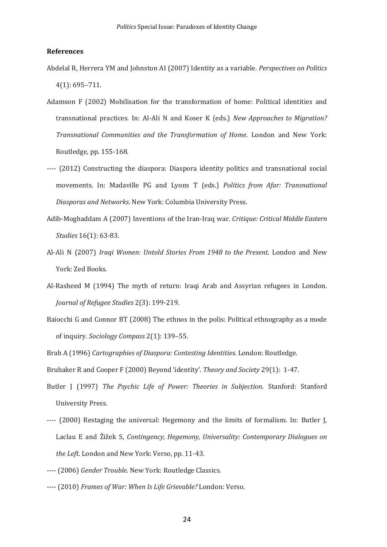#### **References**

- Abdelal R, Herrera YM and Johnston AI (2007) Identity as a variable. *Perspectives on Politics*  4(1): 695–711.
- Adamson F (2002) Mobilisation for the transformation of home: Political identities and transnational practices. In: Al-Ali N and Koser K (eds.) *New Approaches to Migration? Transnational Communities and the Transformation of Home*. London and New York: Routledge, pp. 155-168.
- ---- (2012) Constructing the diaspora: Diaspora identity politics and transnational social movements. In: Madaville PG and Lyons T (eds.) *Politics from Afar: Transnational Diasporas and Networks*. New York: Columbia University Press.
- Adib-Moghaddam A (2007) Inventions of the Iran-Iraq war. *Critique: Critical Middle Eastern Studies* 16(1): 63-83.
- Al-Ali N (2007) *Iraqi Women: Untold Stories From 1948 to the Present.* London and New York: Zed Books.
- Al-Rasheed M (1994) The myth of return: Iraqi Arab and Assyrian refugees in London. *Journal of Refugee Studies* 2(3): 199-219.
- Baiocchi G and Connor BT (2008) The ethnos in the polis: Political ethnography as a mode of inquiry. *Sociology Compass* 2(1): 139–55.
- Brah A (1996) *Cartographies of Diaspora: Contesting Identities.* London: Routledge.

Brubaker R and Cooper F (2000) Beyond 'identity'. *Theory and Society* 29(1): 1-47.

- Butler J (1997) *The Psychic Life of Power: Theories in Subjection*. Stanford: Stanford University Press.
- ---- (2000) Restaging the universal: Hegemony and the limits of formalism. In: Butler J, Laclau E and Žižek S, *Contingency, Hegemony, Universality: Contemporary Dialogues on the Left*. London and New York: Verso, pp. 11-43.
- ---- (2006) *Gender Trouble*. New York: Routledge Classics.
- ---- (2010) *Frames of War: When Is Life Grievable?* London: Verso.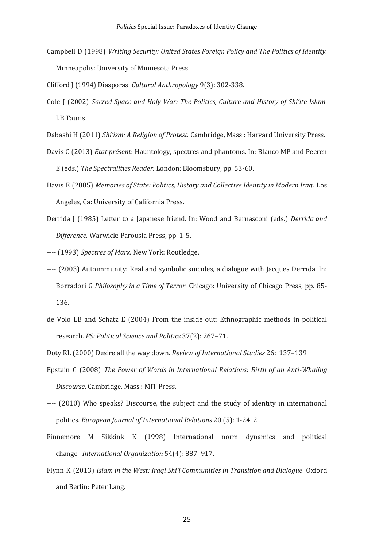- Campbell D (1998) *Writing Security: United States Foreign Policy and The Politics of Identity.* Minneapolis: University of Minnesota Press.
- Clifford J (1994) Diasporas. *Cultural Anthropology* 9(3): 302-338.
- Cole J (2002) *Sacred Space and Holy War: The Politics, Culture and History of Shi'ite Islam*. I.B.Tauris.
- Dabashi H (2011) *Shi'ism: A Religion of Protest*. Cambridge, Mass.: Harvard University Press.
- Davis C (2013) *État présent*: Hauntology, spectres and phantoms. In: Blanco MP and Peeren E (eds.) *The Spectralities Reader*. London: Bloomsbury, pp. 53-60.
- Davis E (2005) *Memories of State: Politics, History and Collective Identity in Modern Iraq*. Los Angeles, Ca: University of California Press.
- Derrida J (1985) Letter to a Japanese friend. In: Wood and Bernasconi (eds.) *Derrida and Difference*. Warwick: Parousia Press, pp. 1-5.
- ---- (1993) *Spectres of Marx*. New York: Routledge.
- ---- (2003) Autoimmunity: Real and symbolic suicides, a dialogue with Jacques Derrida. In: Borradori G *Philosophy in a Time of Terror*. Chicago: University of Chicago Press, pp. 85- 136.
- de Volo LB and Schatz E (2004) From the inside out: Ethnographic methods in political research. *PS: Political Science and Politics* 37(2): 267–71.
- Doty RL (2000) Desire all the way down. *Review of International Studies* 26: 137–139.
- Epstein C (2008) *The Power of Words in International Relations: Birth of an Anti-Whaling Discourse*. Cambridge, Mass.: MIT Press.
- ---- (2010) Who speaks? Discourse, the subject and the study of identity in international politics. *European Journal of International Relations* 20 (5): 1-24, 2.
- Finnemore M Sikkink K (1998) International norm dynamics and political change. *International Organization* 54(4): 887–917.
- Flynn K (2013) *Islam in the West: Iraqi Shi'i Communities in Transition and Dialogue*. Oxford and Berlin: Peter Lang.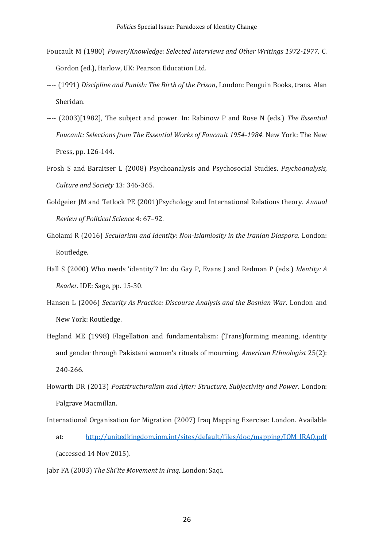- Foucault M (1980) *Power/Knowledge: Selected Interviews and Other Writings 1972-1977*. C. Gordon (ed.), Harlow, UK: Pearson Education Ltd.
- ---- (1991) *Discipline and Punish: The Birth of the Prison*, London: Penguin Books, trans. Alan Sheridan.
- ---- (2003)[1982], The subject and power. In: Rabinow P and Rose N (eds.) *The Essential Foucault: Selections from The Essential Works of Foucault 1954-1984*. New York: The New Press, pp. 126-144.
- Frosh S and Baraitser L (2008) Psychoanalysis and Psychosocial Studies. *Psychoanalysis, Culture and Society* 13: 346-365.
- Goldgeier JM and Tetlock PE (2001)Psychology and International Relations theory. *Annual Review of Political Science* 4: 67–92.
- Gholami R (2016) *Secularism and Identity: Non-Islamiosity in the Iranian Diaspora*. London: Routledge.
- Hall S (2000) Who needs 'identity'? In: du Gay P, Evans J and Redman P (eds.) *Identity: A Reader*. IDE: Sage, pp. 15-30.
- Hansen L (2006) *Security As Practice: Discourse Analysis and the Bosnian War*. London and New York: Routledge.
- Hegland ME (1998) Flagellation and fundamentalism: (Trans)forming meaning, identity and gender through Pakistani women's rituals of mourning. *American Ethnologist* 25(2): 240-266.
- Howarth DR (2013) *Poststructuralism and After: Structure, Subjectivity and Power*. London: Palgrave Macmillan.
- International Organisation for Migration (2007) Iraq Mapping Exercise: London. Available at: [http://unitedkingdom.iom.int/sites/default/files/doc/mapping/IOM\\_IRAQ.pdf](http://unitedkingdom.iom.int/sites/default/files/doc/mapping/IOM_IRAQ.pdf) (accessed 14 Nov 2015).
- Jabr FA (2003) *The Shi'ite Movement in Iraq*. London: Saqi.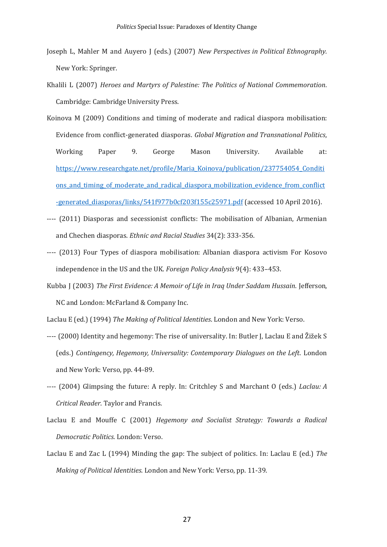- Joseph L, Mahler M and Auyero J (eds.) (2007) *New Perspectives in Political Ethnography.*  New York: Springer.
- Khalili L (2007) *Heroes and Martyrs of Palestine: The Politics of National Commemoration*. Cambridge: Cambridge University Press.
- Koinova M (2009) Conditions and timing of moderate and radical diaspora mobilisation: Evidence from conflict-generated diasporas. *Global Migration and Transnational Politics*, Working Paper 9. George Mason University. Available at: [https://www.researchgate.net/profile/Maria\\_Koinova/publication/237754054\\_Conditi](https://www.researchgate.net/profile/Maria_Koinova/publication/237754054_Conditions_and_timing_of_moderate_and_radical_diaspora_mobilization_evidence_from_conflict-generated_diasporas/links/541f977b0cf203f155c25971.pdf) ons and timing of moderate and radical diaspora mobilization evidence from conflict [-generated\\_diasporas/links/541f977b0cf203f155c25971.pdf](https://www.researchgate.net/profile/Maria_Koinova/publication/237754054_Conditions_and_timing_of_moderate_and_radical_diaspora_mobilization_evidence_from_conflict-generated_diasporas/links/541f977b0cf203f155c25971.pdf) (accessed 10 April 2016).
- ---- (2011) Diasporas and secessionist conflicts: The mobilisation of Albanian, Armenian and Chechen diasporas. *Ethnic and Racial Studies* 34(2): 333-356.
- ---- (2013) Four Types of diaspora mobilisation: Albanian diaspora activism For Kosovo independence in the US and the UK. *Foreign Policy Analysis* 9(4): 433–453.
- Kubba J (2003) *The First Evidence: A Memoir of Life in Iraq Under Saddam Hussain*. Jefferson, NC and London: McFarland & Company Inc.

Laclau E (ed.) (1994) *The Making of Political Identities*. London and New York: Verso.

- ---- (2000) Identity and hegemony: The rise of universality. In: Butler J, Laclau E and Žižek S (eds.) *Contingency, Hegemony, Universality: Contemporary Dialogues on the Left*. London and New York: Verso, pp. 44-89.
- ---- (2004) Glimpsing the future: A reply. In: Critchley S and Marchant O (eds.) *Laclau: A Critical Reader*. Taylor and Francis.
- Laclau E and Mouffe C (2001) *Hegemony and Socialist Strategy: Towards a Radical Democratic Politics*. London: Verso.
- Laclau E and Zac L (1994) Minding the gap: The subject of politics. In: Laclau E (ed.) *The Making of Political Identities*. London and New York: Verso, pp. 11-39.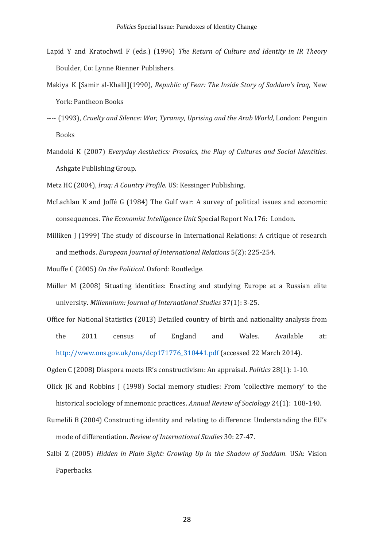- Lapid Y and Kratochwil F (eds.) (1996) *The Return of Culture and Identity in IR Theory*  Boulder, Co: Lynne Rienner Publishers.
- Makiya K [Samir al-Khalil](1990), *Republic of Fear: The Inside Story of Saddam's Iraq*, New York: Pantheon Books
- ---- (1993), *Cruelty and Silence: War, Tyranny, Uprising and the Arab World,* London: Penguin Books
- Mandoki K (2007) *Everyday Aesthetics: Prosaics, the Play of Cultures and Social Identities*. Ashgate Publishing Group.
- Metz HC (2004), *Iraq: A Country Profile*. US: Kessinger Publishing.
- McLachlan K and Joffé G (1984) The Gulf war: A survey of political issues and economic consequences. *The Economist Intelligence Unit* Special Report No.176: London.
- Milliken J (1999) The study of discourse in International Relations: A critique of research and methods. *European Journal of International Relations* 5(2): 225-254.

Mouffe C (2005) *On the Political*. Oxford: Routledge.

- Müller M (2008) Situating identities: Enacting and studying Europe at a Russian elite university. *Millennium: Journal of International Studies* 37(1): 3-25.
- Office for National Statistics (2013) Detailed country of birth and nationality analysis from the 2011 census of England and Wales. Available at: [http://www.ons.gov.uk/ons/dcp171776\\_310441.pdf](http://www.ons.gov.uk/ons/dcp171776_310441.pdf) (accessed 22 March 2014).

Ogden C (2008) Diaspora meets IR's constructivism: An appraisal. *Politics* 28(1): 1-10.

- Olick JK and Robbins J (1998) Social memory studies: From 'collective memory' to the historical sociology of mnemonic practices. *Annual Review of Sociology* 24(1): 108-140.
- Rumelili B (2004) Constructing identity and relating to difference: Understanding the EU's mode of differentiation. *Review of International Studies* 30: 27-47.
- Salbi Z (2005) *Hidden in Plain Sight: Growing Up in the Shadow of Saddam*. USA: Vision Paperbacks.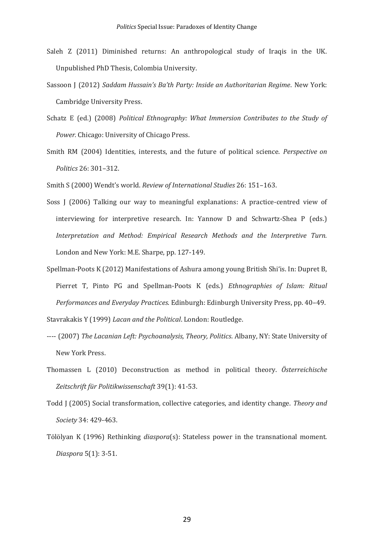- Saleh Z (2011) Diminished returns: An anthropological study of Iraqis in the UK. Unpublished PhD Thesis, Colombia University.
- Sassoon J (2012) *Saddam Hussain's Ba'th Party: Inside an Authoritarian Regime*. New York: Cambridge University Press.
- Schatz E (ed.) (2008) *Political Ethnography: What Immersion Contributes to the Study of Power.* Chicago: University of Chicago Press.
- Smith RM (2004) Identities, interests, and the future of political science. *Perspective on Politics* 26: 301–312.
- Smith S (2000) Wendt's world. *Review of International Studies* 26: 151–163.
- Soss J (2006) Talking our way to meaningful explanations: A practice-centred view of interviewing for interpretive research. In: Yannow D and Schwartz-Shea P (eds.) *Interpretation and Method: Empirical Research Methods and the Interpretive Turn.* London and New York: M.E. Sharpe, pp. 127-149.
- Spellman-Poots K (2012) Manifestations of Ashura among young British Shi'is. In: Dupret B, Pierret T, Pinto PG and Spellman-Poots K (eds.) *Ethnographies of Islam: Ritual Performances and Everyday Practices*. Edinburgh: Edinburgh University Press, pp. 40–49. Stavrakakis Y (1999) *Lacan and the Political*. London: Routledge.
- ---- (2007) *The Lacanian Left: Psychoanalysis, Theory, Politics*. Albany, NY: State University of New York Press.
- Thomassen L (2010) Deconstruction as method in political theory. *Österreichische Zeitschrift für Politikwissenschaft* 39(1): 41-53.
- Todd J (2005) Social transformation, collective categories, and identity change. *Theory and Society* 34: 429-463.
- Tölölyan K (1996) Rethinking *diaspora*(s): Stateless power in the transnational moment. *Diaspora* 5(1): 3-51.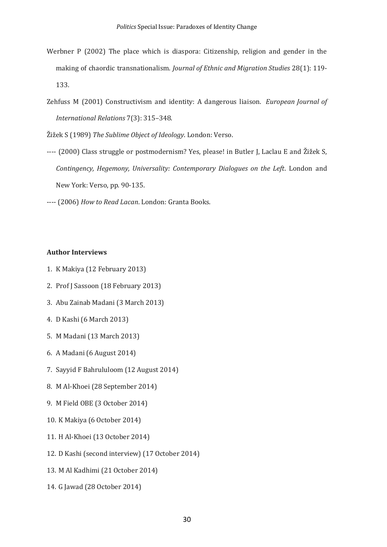- Werbner P (2002) The place which is diaspora: Citizenship, religion and gender in the making of chaordic transnationalism. *Journal of Ethnic and Migration Studies* 28(1): 119- 133.
- Zehfuss M (2001) Constructivism and identity: A dangerous liaison. *European Journal of International Relations* 7(3): 315–348.

Žižek S (1989) *The Sublime Object of Ideology*. London: Verso.

- ---- (2000) Class struggle or postmodernism? Yes, please! in Butler J, Laclau E and Žižek S, *Contingency, Hegemony, Universality: Contemporary Dialogues on the Left*. London and New York: Verso, pp. 90-135.
- ---- (2006) *How to Read Lacan*. London: Granta Books.

# **Author Interviews**

- 1. K Makiya (12 February 2013)
- 2. Prof J Sassoon (18 February 2013)
- 3. Abu Zainab Madani (3 March 2013)
- 4. D Kashi (6 March 2013)
- 5. M Madani (13 March 2013)
- 6. A Madani (6 August 2014)
- 7. Sayyid F Bahrululoom (12 August 2014)
- 8. M Al-Khoei (28 September 2014)
- 9. M Field OBE (3 October 2014)
- 10. K Makiya (6 October 2014)
- 11. H Al-Khoei (13 October 2014)
- 12. D Kashi (second interview) (17 October 2014)
- 13. M Al Kadhimi (21 October 2014)
- 14. G Jawad (28 October 2014)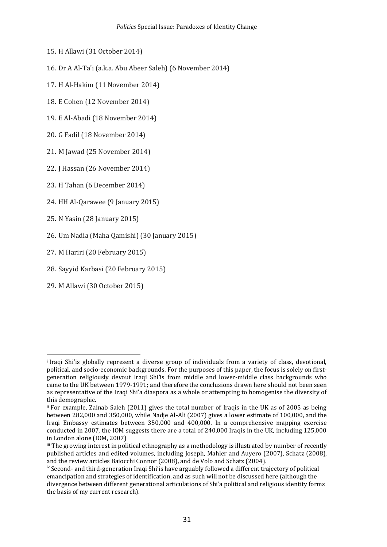- 15. H Allawi (31 October 2014)
- 16. Dr A Al-Ta'i (a.k.a. Abu Abeer Saleh) (6 November 2014)
- 17. H Al-Hakim (11 November 2014)
- 18. E Cohen (12 November 2014)
- 19. E Al-Abadi (18 November 2014)
- 20. G Fadil (18 November 2014)
- 21. M Jawad (25 November 2014)
- 22. J Hassan (26 November 2014)
- 23. H Tahan (6 December 2014)
- 24. HH Al-Qarawee (9 January 2015)
- 25. N Yasin (28 January 2015)
- 26. Um Nadia (Maha Qamishi) (30 January 2015)
- 27. M Hariri (20 February 2015)
- 28. Sayyid Karbasi (20 February 2015)
- 29. M Allawi (30 October 2015)

<u>.</u>

i Iraqi Shi'is globally represent a diverse group of individuals from a variety of class, devotional, political, and socio-economic backgrounds. For the purposes of this paper, the focus is solely on firstgeneration religiously devout Iraqi Shi'is from middle and lower-middle class backgrounds who came to the UK between 1979-1991; and therefore the conclusions drawn here should not been seen as representative of the Iraqi Shi'a diaspora as a whole or attempting to homogenise the diversity of this demographic.

ii For example, Zainab Saleh (2011) gives the total number of Iraqis in the UK as of 2005 as being between 282,000 and 350,000, while Nadje Al-Ali (2007) gives a lower estimate of 100,000, and the Iraqi Embassy estimates between 350,000 and 400,000. In a comprehensive mapping exercise conducted in 2007, the IOM suggests there are a total of 240,000 Iraqis in the UK, including 125,000 in London alone (IOM, 2007)

iii The growing interest in political ethnography as a methodology is illustrated by number of recently published articles and edited volumes, including Joseph, Mahler and Auyero (2007), Schatz (2008), and the review articles Baiocchi Connor (2008), and de Volo and Schatz (2004).

iv Second- and third-generation Iraqi Shi'is have arguably followed a different trajectory of political emancipation and strategies of identification, and as such will not be discussed here (although the divergence between different generational articulations of Shi'a political and religious identity forms the basis of my current research).